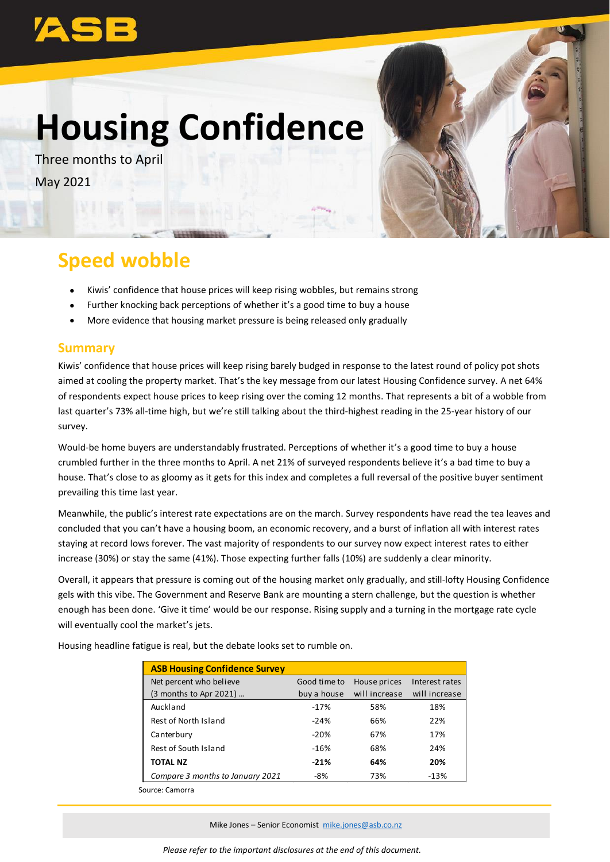# **Housing Confidence**

Three months to April May 2021



## **Speed wobble**

- Kiwis' confidence that house prices will keep rising wobbles, but remains strong
- Further knocking back perceptions of whether it's a good time to buy a house
- More evidence that housing market pressure is being released only gradually

#### **Summary**

Kiwis' confidence that house prices will keep rising barely budged in response to the latest round of policy pot shots aimed at cooling the property market. That's the key message from our latest Housing Confidence survey. A net 64% of respondents expect house prices to keep rising over the coming 12 months. That represents a bit of a wobble from last quarter's 73% all-time high, but we're still talking about the third-highest reading in the 25-year history of our survey.

Would-be home buyers are understandably frustrated. Perceptions of whether it's a good time to buy a house crumbled further in the three months to April. A net 21% of surveyed respondents believe it's a bad time to buy a house. That's close to as gloomy as it gets for this index and completes a full reversal of the positive buyer sentiment prevailing this time last year.

Meanwhile, the public's interest rate expectations are on the march. Survey respondents have read the tea leaves and concluded that you can't have a housing boom, an economic recovery, and a burst of inflation all with interest rates staying at record lows forever. The vast majority of respondents to our survey now expect interest rates to either increase (30%) or stay the same (41%). Those expecting further falls (10%) are suddenly a clear minority.

Overall, it appears that pressure is coming out of the housing market only gradually, and still-lofty Housing Confidence gels with this vibe. The Government and Reserve Bank are mounting a stern challenge, but the question is whether enough has been done. 'Give it time' would be our response. Rising supply and a turning in the mortgage rate cycle will eventually cool the market's jets.

| <b>ASB Housing Confidence Survey</b> |              |               |                |
|--------------------------------------|--------------|---------------|----------------|
| Net percent who believe              | Good time to | House prices  | Interest rates |
| (3 months to Apr 2021)               | buy a house  | will increase | will increase  |
| Auckland                             | $-17%$       | 58%           | 18%            |
| Rest of North Island                 | $-24%$       | 66%           | 22%            |
| Canterbury                           | $-20%$       | 67%           | 17%            |
| Rest of South Island                 | $-16%$       | 68%           | 24%            |
| <b>TOTAL NZ</b>                      | $-21%$       | 64%           | 20%            |
| Compare 3 months to January 2021     | -8%          | 73%           | $-13%$         |
| Source: Camorra                      |              |               |                |

Housing headline fatigue is real, but the debate looks set to rumble on.

Mike Jones – Senior Economist [mike.jones@asb.co.nz](mailto:mike.jones@asb.co.nz)

*Please refer to the important disclosures at the end of this document.*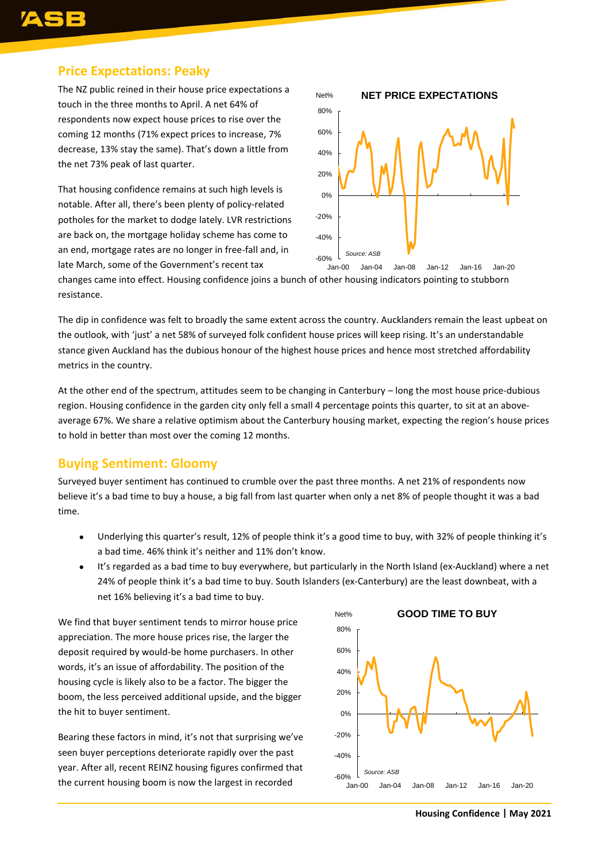## **Price Expectations: Peaky**

The NZ public reined in their house price expectations a touch in the three months to April. A net 64% of respondents now expect house prices to rise over the coming 12 months (71% expect prices to increase, 7% decrease, 13% stay the same). That's down a little from the net 73% peak of last quarter.

That housing confidence remains at such high levels is notable. After all, there's been plenty of policy-related potholes for the market to dodge lately. LVR restrictions are back on, the mortgage holiday scheme has come to an end, mortgage rates are no longer in free-fall and, in late March, some of the Government's recent tax



changes came into effect. Housing confidence joins a bunch of other housing indicators pointing to stubborn resistance.

The dip in confidence was felt to broadly the same extent across the country. Aucklanders remain the least upbeat on the outlook, with 'just' a net 58% of surveyed folk confident house prices will keep rising. It's an understandable stance given Auckland has the dubious honour of the highest house prices and hence most stretched affordability metrics in the country.

At the other end of the spectrum, attitudes seem to be changing in Canterbury – long the most house price-dubious region. Housing confidence in the garden city only fell a small 4 percentage points this quarter, to sit at an aboveaverage 67%. We share a relative optimism about the Canterbury housing market, expecting the region's house prices to hold in better than most over the coming 12 months.

### **Buying Sentiment: Gloomy**

Surveyed buyer sentiment has continued to crumble over the past three months. A net 21% of respondents now believe it's a bad time to buy a house, a big fall from last quarter when only a net 8% of people thought it was a bad time.

- Underlying this quarter's result, 12% of people think it's a good time to buy, with 32% of people thinking it's a bad time. 46% think it's neither and 11% don't know.
- It's regarded as a bad time to buy everywhere, but particularly in the North Island (ex-Auckland) where a net 24% of people think it's a bad time to buy. South Islanders (ex-Canterbury) are the least downbeat, with a net 16% believing it's a bad time to buy.

We find that buyer sentiment tends to mirror house price appreciation. The more house prices rise, the larger the deposit required by would-be home purchasers. In other words, it's an issue of affordability. The position of the housing cycle is likely also to be a factor. The bigger the boom, the less perceived additional upside, and the bigger the hit to buyer sentiment.

Bearing these factors in mind, it's not that surprising we've seen buyer perceptions deteriorate rapidly over the past year. After all, recent REINZ housing figures confirmed that the current housing boom is now the largest in recorded



**Housing Confidence | May 2021**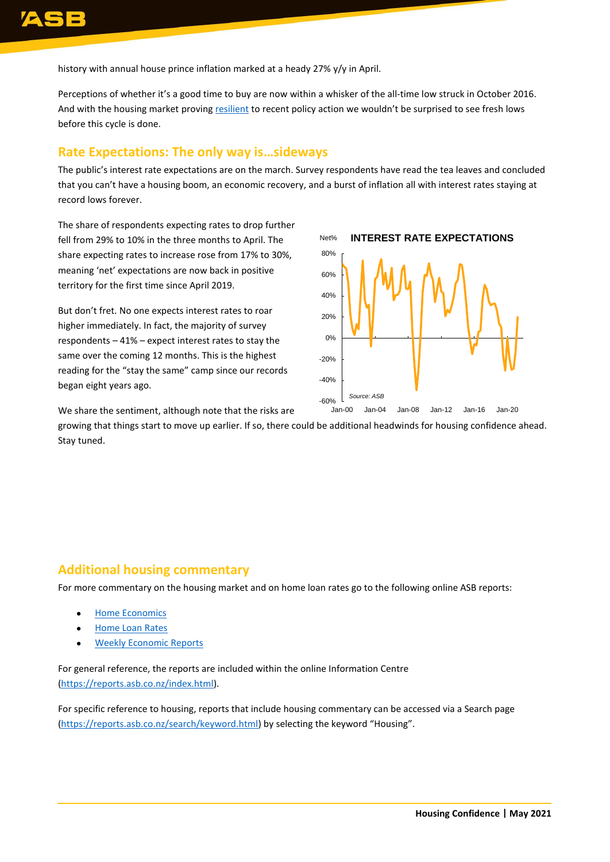history with annual house prince inflation marked at a heady 27% y/y in April.

Perceptions of whether it's a good time to buy are now within a whisker of the all-time low struck in October 2016. And with the housing market proving [resilient](https://www.asb.co.nz/content/dam/asb/documents/reports/economic-note/reinz-apr-2021.pdf) to recent policy action we wouldn't be surprised to see fresh lows before this cycle is done.

#### **Rate Expectations: The only way is…sideways**

The public's interest rate expectations are on the march. Survey respondents have read the tea leaves and concluded that you can't have a housing boom, an economic recovery, and a burst of inflation all with interest rates staying at record lows forever.

The share of respondents expecting rates to drop further fell from 29% to 10% in the three months to April. The share expecting rates to increase rose from 17% to 30%, meaning 'net' expectations are now back in positive territory for the first time since April 2019.

But don't fret. No one expects interest rates to roar higher immediately. In fact, the majority of survey respondents – 41% – expect interest rates to stay the same over the coming 12 months. This is the highest reading for the "stay the same" camp since our records began eight years ago.



We share the sentiment, although note that the risks are

growing that things start to move up earlier. If so, there could be additional headwinds for housing confidence ahead. Stay tuned.

#### **Additional housing commentary**

For more commentary on the housing market and on home loan rates go to the following online ASB reports:

- [Home Economics](https://www.asb.co.nz/documents/economic-research/home-economics.html)
- **[Home Loan Rates](https://www.asb.co.nz/documents/economic-research/home-loan-rate-report.html)**
- [Weekly Economic Reports](https://www.asb.co.nz/documents/economic-research/economic-weekly.html)

For general reference, the reports are included within the online Information Centre [\(https://reports.asb.co.nz/index.html\)](https://reports.asb.co.nz/index.html).

For specific reference to housing, reports that include housing commentary can be accessed via a Search page [\(https://reports.asb.co.nz/search/keyword.html\)](https://reports.asb.co.nz/search/keyword.html) by selecting the keyword "Housing".